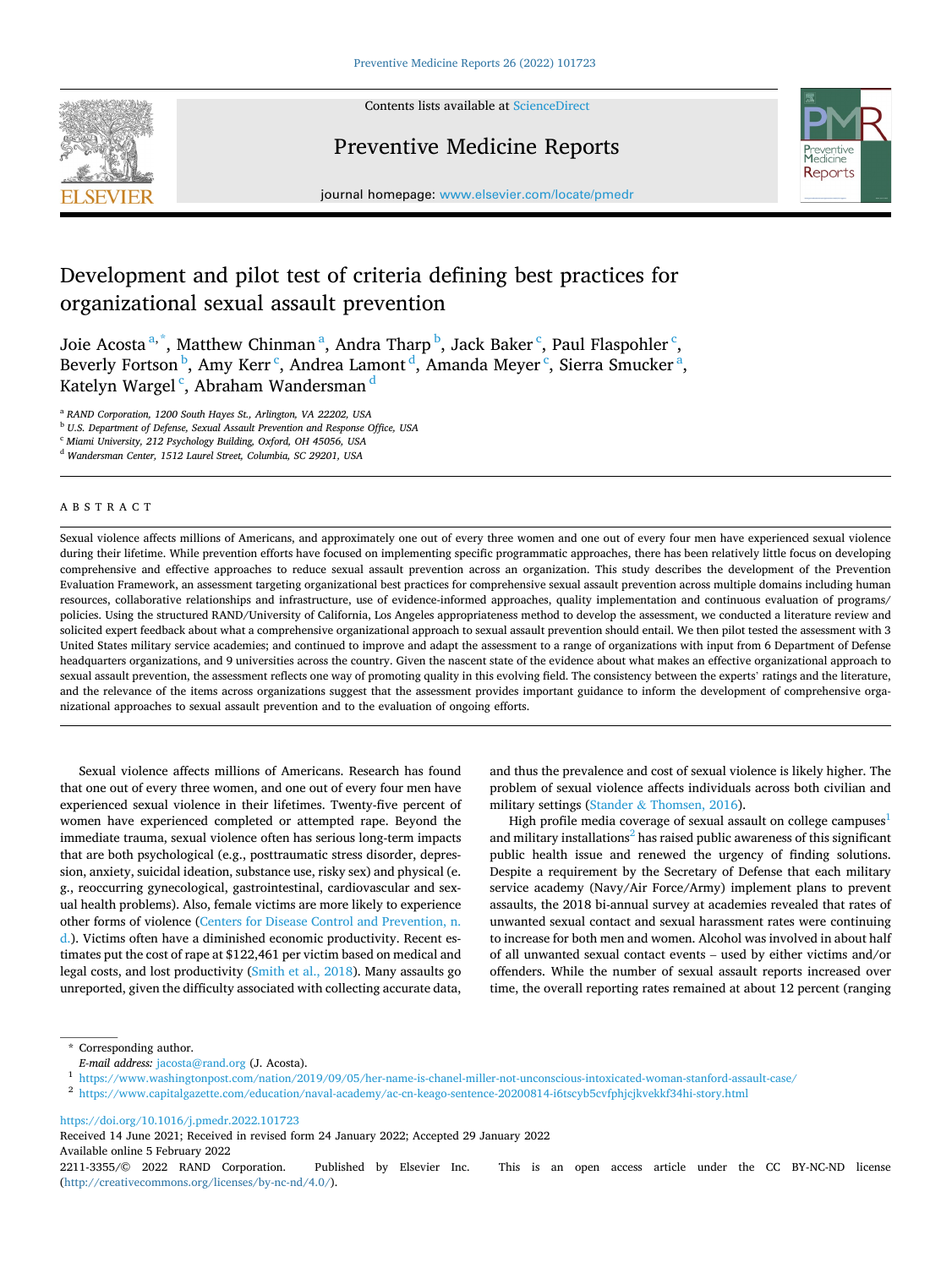

Contents lists available at [ScienceDirect](www.sciencedirect.com/science/journal/22113355)

# Preventive Medicine Reports



journal homepage: [www.elsevier.com/locate/pmedr](https://www.elsevier.com/locate/pmedr) 

# Development and pilot test of criteria defining best practices for organizational sexual assault prevention

Joie Acosta<sup>a,\*</sup>, Matthew Chinman<sup>a</sup>, Andra Tharp<sup>b</sup>, Jack Baker<sup>c</sup>, Paul Flaspohler<sup>c</sup>, Beverly Fortson <sup>b</sup>, Amy Kerr <sup>c</sup>, Andrea Lamont <sup>d</sup>, Amanda Meyer <sup>c</sup>, Sierra Smucker <sup>a</sup>, Katelyn Wargel <sup>c</sup>, Abraham Wandersman <sup>d</sup>

<sup>a</sup> *RAND Corporation, 1200 South Hayes St., Arlington, VA 22202, USA* 

<sup>b</sup> *U.S. Department of Defense, Sexual Assault Prevention and Response Office, USA* 

<sup>c</sup> *Miami University, 212 Psychology Building, Oxford, OH 45056, USA* 

<sup>d</sup> *Wandersman Center, 1512 Laurel Street, Columbia, SC 29201, USA* 

# ABSTRACT

Sexual violence affects millions of Americans, and approximately one out of every three women and one out of every four men have experienced sexual violence during their lifetime. While prevention efforts have focused on implementing specific programmatic approaches, there has been relatively little focus on developing comprehensive and effective approaches to reduce sexual assault prevention across an organization. This study describes the development of the Prevention Evaluation Framework, an assessment targeting organizational best practices for comprehensive sexual assault prevention across multiple domains including human resources, collaborative relationships and infrastructure, use of evidence-informed approaches, quality implementation and continuous evaluation of programs/ policies. Using the structured RAND/University of California, Los Angeles appropriateness method to develop the assessment, we conducted a literature review and solicited expert feedback about what a comprehensive organizational approach to sexual assault prevention should entail. We then pilot tested the assessment with 3 United States military service academies; and continued to improve and adapt the assessment to a range of organizations with input from 6 Department of Defense headquarters organizations, and 9 universities across the country. Given the nascent state of the evidence about what makes an effective organizational approach to sexual assault prevention, the assessment reflects one way of promoting quality in this evolving field. The consistency between the experts' ratings and the literature, and the relevance of the items across organizations suggest that the assessment provides important guidance to inform the development of comprehensive organizational approaches to sexual assault prevention and to the evaluation of ongoing efforts.

Sexual violence affects millions of Americans. Research has found that one out of every three women, and one out of every four men have experienced sexual violence in their lifetimes. Twenty-five percent of women have experienced completed or attempted rape. Beyond the immediate trauma, sexual violence often has serious long-term impacts that are both psychological (e.g., posttraumatic stress disorder, depression, anxiety, suicidal ideation, substance use, risky sex) and physical (e. g., reoccurring gynecological, gastrointestinal, cardiovascular and sexual health problems). Also, female victims are more likely to experience other forms of violence [\(Centers for Disease Control and Prevention, n.](#page-5-0)  [d.](#page-5-0)). Victims often have a diminished economic productivity. Recent estimates put the cost of rape at \$122,461 per victim based on medical and legal costs, and lost productivity ([Smith et al., 2018\)](#page-5-0). Many assaults go unreported, given the difficulty associated with collecting accurate data, and thus the prevalence and cost of sexual violence is likely higher. The problem of sexual violence affects individuals across both civilian and military settings (Stander & [Thomsen, 2016\)](#page-6-0).

High profile media coverage of sexual assault on college campuses<sup>1</sup> and military installations<sup>2</sup> has raised public awareness of this significant public health issue and renewed the urgency of finding solutions. Despite a requirement by the Secretary of Defense that each military service academy (Navy/Air Force/Army) implement plans to prevent assaults, the 2018 bi-annual survey at academies revealed that rates of unwanted sexual contact and sexual harassment rates were continuing to increase for both men and women. Alcohol was involved in about half of all unwanted sexual contact events – used by either victims and/or offenders. While the number of sexual assault reports increased over time, the overall reporting rates remained at about 12 percent (ranging

\* Corresponding author.<br>E-mail address: jacosta@rand.org (J. Acosta).

<https://doi.org/10.1016/j.pmedr.2022.101723>

Received 14 June 2021; Received in revised form 24 January 2022; Accepted 29 January 2022

Available online 5 February 2022

 $^{\rm 1}$ <https://www.washingtonpost.com/nation/2019/09/05/her-name-is-chanel-miller-not-unconscious-intoxicated-woman-stanford-assault-case/> $^{\rm 2}$ https://www.capitalgazette.com/education/naval-academy/ac-cn-keago-senten

<sup>2211-3355/© 2022</sup> RAND Corporation. Published by Elsevier Inc. This is an open access article under the CC BY-NC-ND license [\(http://creativecommons.org/licenses/by-nc-nd/4.0/\)](http://creativecommons.org/licenses/by-nc-nd/4.0/).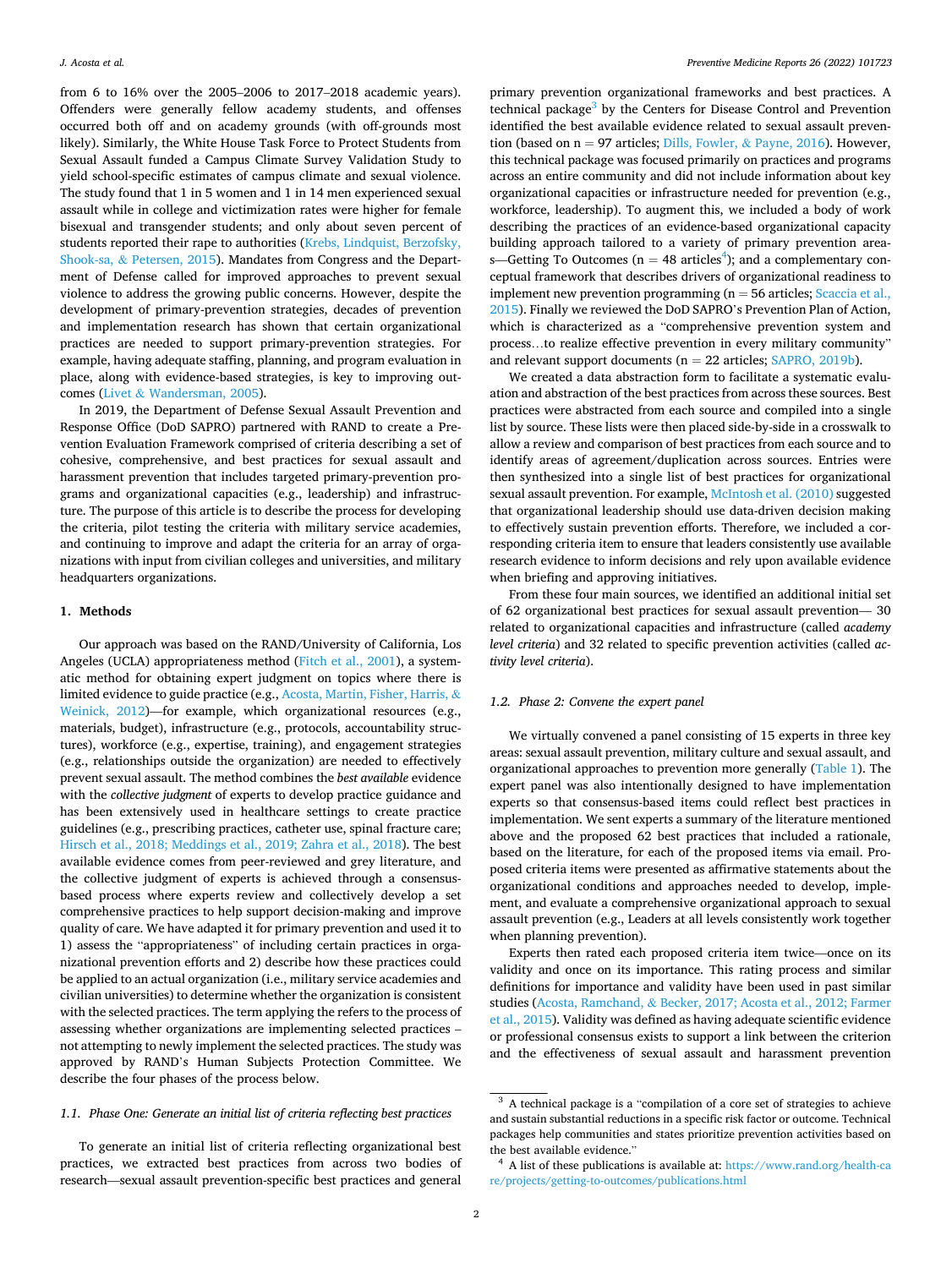from 6 to 16% over the 2005–2006 to 2017–2018 academic years). Offenders were generally fellow academy students, and offenses occurred both off and on academy grounds (with off-grounds most likely). Similarly, the White House Task Force to Protect Students from Sexual Assault funded a Campus Climate Survey Validation Study to yield school-specific estimates of campus climate and sexual violence. The study found that 1 in 5 women and 1 in 14 men experienced sexual assault while in college and victimization rates were higher for female bisexual and transgender students; and only about seven percent of students reported their rape to authorities ([Krebs, Lindquist, Berzofsky,](#page-5-0)  Shook-sa, & [Petersen, 2015](#page-5-0)). Mandates from Congress and the Department of Defense called for improved approaches to prevent sexual violence to address the growing public concerns. However, despite the development of primary-prevention strategies, decades of prevention and implementation research has shown that certain organizational practices are needed to support primary-prevention strategies. For example, having adequate staffing, planning, and program evaluation in place, along with evidence-based strategies, is key to improving outcomes (Livet & [Wandersman, 2005\)](#page-5-0).

In 2019, the Department of Defense Sexual Assault Prevention and Response Office (DoD SAPRO) partnered with RAND to create a Prevention Evaluation Framework comprised of criteria describing a set of cohesive, comprehensive, and best practices for sexual assault and harassment prevention that includes targeted primary-prevention programs and organizational capacities (e.g., leadership) and infrastructure. The purpose of this article is to describe the process for developing the criteria, pilot testing the criteria with military service academies, and continuing to improve and adapt the criteria for an array of organizations with input from civilian colleges and universities, and military headquarters organizations.

## **1. Methods**

Our approach was based on the RAND/University of California, Los Angeles (UCLA) appropriateness method [\(Fitch et al., 2001\)](#page-5-0), a systematic method for obtaining expert judgment on topics where there is limited evidence to guide practice (e.g., [Acosta, Martin, Fisher, Harris,](#page-5-0) & [Weinick, 2012\)](#page-5-0)—for example, which organizational resources (e.g., materials, budget), infrastructure (e.g., protocols, accountability structures), workforce (e.g., expertise, training), and engagement strategies (e.g., relationships outside the organization) are needed to effectively prevent sexual assault. The method combines the *best available* evidence with the *collective judgment* of experts to develop practice guidance and has been extensively used in healthcare settings to create practice guidelines (e.g., prescribing practices, catheter use, spinal fracture care; [Hirsch et al., 2018; Meddings et al., 2019; Zahra et al., 2018](#page-5-0)). The best available evidence comes from peer-reviewed and grey literature, and the collective judgment of experts is achieved through a consensusbased process where experts review and collectively develop a set comprehensive practices to help support decision-making and improve quality of care. We have adapted it for primary prevention and used it to 1) assess the "appropriateness" of including certain practices in organizational prevention efforts and 2) describe how these practices could be applied to an actual organization (i.e., military service academies and civilian universities) to determine whether the organization is consistent with the selected practices. The term applying the refers to the process of assessing whether organizations are implementing selected practices – not attempting to newly implement the selected practices. The study was approved by RAND's Human Subjects Protection Committee. We describe the four phases of the process below.

# *1.1. Phase One: Generate an initial list of criteria reflecting best practices*

To generate an initial list of criteria reflecting organizational best practices, we extracted best practices from across two bodies of research—sexual assault prevention-specific best practices and general

primary prevention organizational frameworks and best practices. A technical package $3$  by the Centers for Disease Control and Prevention identified the best available evidence related to sexual assault prevention (based on  $n = 97$  articles; [Dills, Fowler,](#page-5-0) & Payne, 2016). However, this technical package was focused primarily on practices and programs across an entire community and did not include information about key organizational capacities or infrastructure needed for prevention (e.g., workforce, leadership). To augment this, we included a body of work describing the practices of an evidence-based organizational capacity building approach tailored to a variety of primary prevention areas—Getting To Outcomes ( $n = 48$  articles<sup>4</sup>); and a complementary conceptual framework that describes drivers of organizational readiness to implement new prevention programming ( $n = 56$  articles; Scaccia et al., [2015\)](#page-5-0). Finally we reviewed the DoD SAPRO's Prevention Plan of Action, which is characterized as a "comprehensive prevention system and process…to realize effective prevention in every military community" and relevant support documents ( $n = 22$  articles; [SAPRO, 2019b\)](#page-5-0).

We created a data abstraction form to facilitate a systematic evaluation and abstraction of the best practices from across these sources. Best practices were abstracted from each source and compiled into a single list by source. These lists were then placed side-by-side in a crosswalk to allow a review and comparison of best practices from each source and to identify areas of agreement/duplication across sources. Entries were then synthesized into a single list of best practices for organizational sexual assault prevention. For example, [McIntosh et al. \(2010\)](#page-5-0) suggested that organizational leadership should use data-driven decision making to effectively sustain prevention efforts. Therefore, we included a corresponding criteria item to ensure that leaders consistently use available research evidence to inform decisions and rely upon available evidence when briefing and approving initiatives.

From these four main sources, we identified an additional initial set of 62 organizational best practices for sexual assault prevention— 30 related to organizational capacities and infrastructure (called *academy level criteria*) and 32 related to specific prevention activities (called *activity level criteria*).

# *1.2. Phase 2: Convene the expert panel*

We virtually convened a panel consisting of 15 experts in three key areas: sexual assault prevention, military culture and sexual assault, and organizational approaches to prevention more generally [\(Table 1\)](#page-2-0). The expert panel was also intentionally designed to have implementation experts so that consensus-based items could reflect best practices in implementation. We sent experts a summary of the literature mentioned above and the proposed 62 best practices that included a rationale, based on the literature, for each of the proposed items via email. Proposed criteria items were presented as affirmative statements about the organizational conditions and approaches needed to develop, implement, and evaluate a comprehensive organizational approach to sexual assault prevention (e.g., Leaders at all levels consistently work together when planning prevention).

Experts then rated each proposed criteria item twice—once on its validity and once on its importance. This rating process and similar definitions for importance and validity have been used in past similar studies (Acosta, Ramchand, & [Becker, 2017; Acosta et al., 2012; Farmer](#page-5-0)  [et al., 2015](#page-5-0)). Validity was defined as having adequate scientific evidence or professional consensus exists to support a link between the criterion and the effectiveness of sexual assault and harassment prevention

<sup>&</sup>lt;sup>3</sup> A technical package is a "compilation of a core set of strategies to achieve and sustain substantial reductions in a specific risk factor or outcome. Technical packages help communities and states prioritize prevention activities based on the best available evidence."

<sup>&</sup>lt;sup>4</sup> A list of these publications is available at: https://www.rand.org/health-ca [re/projects/getting-to-outcomes/publications.html](https://www.rand.org/health-care/projects/getting-to-outcomes/publications.html)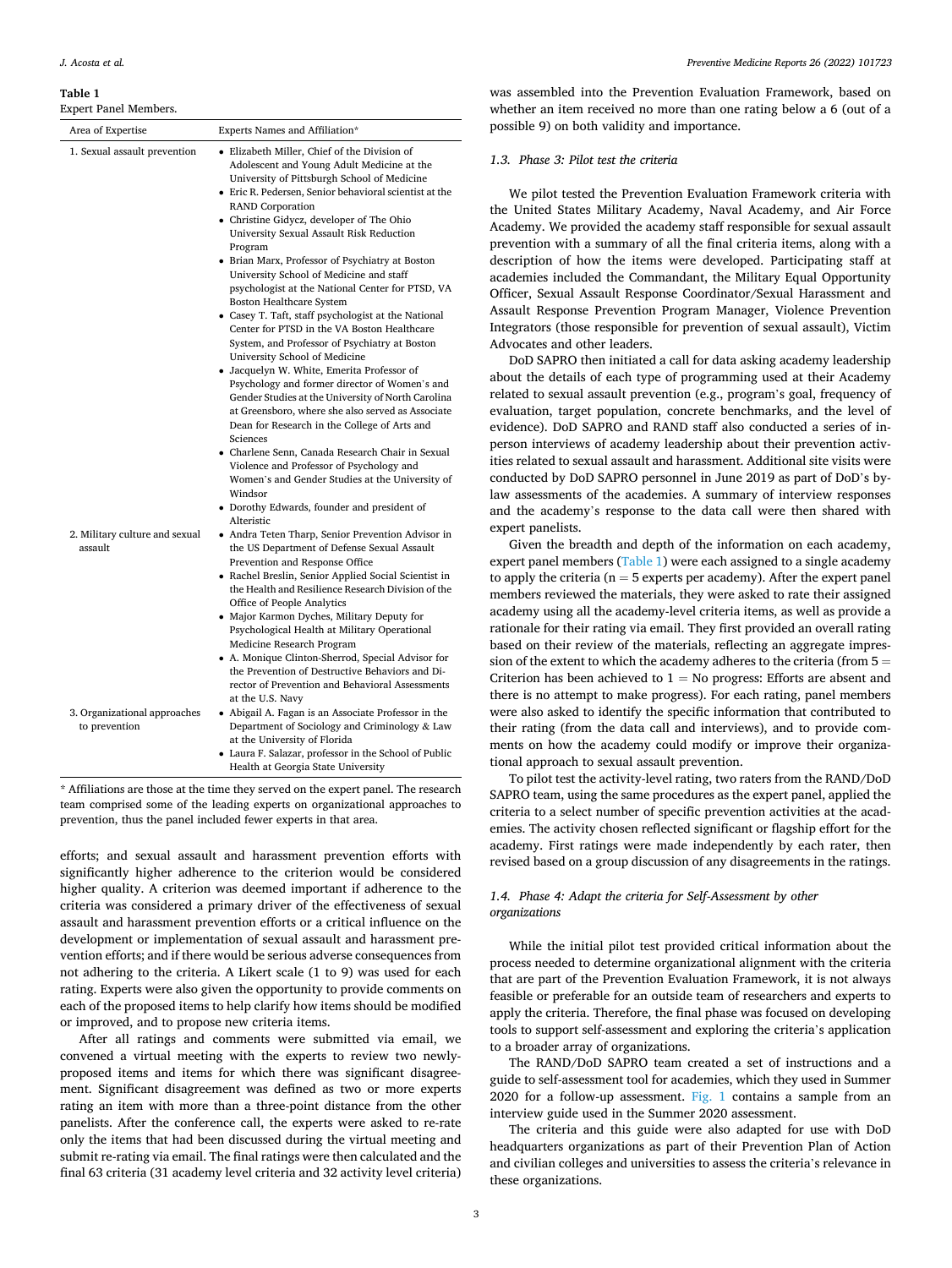#### <span id="page-2-0"></span>**Table 1**

Expert Panel Members.

| ехрегі ғанет мешрегу.<br>Area of Expertise                     | Experts Names and Affiliation*                                                                                                                                                                                                                                                                                                                                                                                                                                                                                                                                                                                                                                                                                                                                                                                                                                                                                                                                                                                                                                                                                                                                                                                                                                        |
|----------------------------------------------------------------|-----------------------------------------------------------------------------------------------------------------------------------------------------------------------------------------------------------------------------------------------------------------------------------------------------------------------------------------------------------------------------------------------------------------------------------------------------------------------------------------------------------------------------------------------------------------------------------------------------------------------------------------------------------------------------------------------------------------------------------------------------------------------------------------------------------------------------------------------------------------------------------------------------------------------------------------------------------------------------------------------------------------------------------------------------------------------------------------------------------------------------------------------------------------------------------------------------------------------------------------------------------------------|
| 1. Sexual assault prevention<br>2. Military culture and sexual | • Elizabeth Miller, Chief of the Division of<br>Adolescent and Young Adult Medicine at the<br>University of Pittsburgh School of Medicine<br>• Eric R. Pedersen, Senior behavioral scientist at the<br><b>RAND Corporation</b><br>• Christine Gidycz, developer of The Ohio<br>University Sexual Assault Risk Reduction<br>Program<br>• Brian Marx, Professor of Psychiatry at Boston<br>University School of Medicine and staff<br>psychologist at the National Center for PTSD, VA<br><b>Boston Healthcare System</b><br>• Casey T. Taft, staff psychologist at the National<br>Center for PTSD in the VA Boston Healthcare<br>System, and Professor of Psychiatry at Boston<br>University School of Medicine<br>• Jacquelyn W. White, Emerita Professor of<br>Psychology and former director of Women's and<br>Gender Studies at the University of North Carolina<br>at Greensboro, where she also served as Associate<br>Dean for Research in the College of Arts and<br>Sciences<br>• Charlene Senn, Canada Research Chair in Sexual<br>Violence and Professor of Psychology and<br>Women's and Gender Studies at the University of<br>Windsor<br>• Dorothy Edwards, founder and president of<br>Alteristic<br>• Andra Teten Tharp, Senior Prevention Advisor in |
| assault                                                        | the US Department of Defense Sexual Assault<br>Prevention and Response Office<br>• Rachel Breslin, Senior Applied Social Scientist in<br>the Health and Resilience Research Division of the<br>Office of People Analytics<br>• Major Karmon Dyches, Military Deputy for<br>Psychological Health at Military Operational<br>Medicine Research Program<br>• A. Monique Clinton-Sherrod, Special Advisor for<br>the Prevention of Destructive Behaviors and Di-<br>rector of Prevention and Behavioral Assessments                                                                                                                                                                                                                                                                                                                                                                                                                                                                                                                                                                                                                                                                                                                                                       |
| 3. Organizational approaches<br>to prevention                  | at the U.S. Navy<br>• Abigail A. Fagan is an Associate Professor in the<br>Department of Sociology and Criminology & Law<br>at the University of Florida<br>• Laura F. Salazar, professor in the School of Public<br>Health at Georgia State University                                                                                                                                                                                                                                                                                                                                                                                                                                                                                                                                                                                                                                                                                                                                                                                                                                                                                                                                                                                                               |

\* Affiliations are those at the time they served on the expert panel. The research team comprised some of the leading experts on organizational approaches to prevention, thus the panel included fewer experts in that area.

efforts; and sexual assault and harassment prevention efforts with significantly higher adherence to the criterion would be considered higher quality. A criterion was deemed important if adherence to the criteria was considered a primary driver of the effectiveness of sexual assault and harassment prevention efforts or a critical influence on the development or implementation of sexual assault and harassment prevention efforts; and if there would be serious adverse consequences from not adhering to the criteria. A Likert scale (1 to 9) was used for each rating. Experts were also given the opportunity to provide comments on each of the proposed items to help clarify how items should be modified or improved, and to propose new criteria items.

After all ratings and comments were submitted via email, we convened a virtual meeting with the experts to review two newlyproposed items and items for which there was significant disagreement. Significant disagreement was defined as two or more experts rating an item with more than a three-point distance from the other panelists. After the conference call, the experts were asked to re-rate only the items that had been discussed during the virtual meeting and submit re-rating via email. The final ratings were then calculated and the final 63 criteria (31 academy level criteria and 32 activity level criteria)

was assembled into the Prevention Evaluation Framework, based on whether an item received no more than one rating below a 6 (out of a possible 9) on both validity and importance.

#### *1.3. Phase 3: Pilot test the criteria*

We pilot tested the Prevention Evaluation Framework criteria with the United States Military Academy, Naval Academy, and Air Force Academy. We provided the academy staff responsible for sexual assault prevention with a summary of all the final criteria items, along with a description of how the items were developed. Participating staff at academies included the Commandant, the Military Equal Opportunity Officer, Sexual Assault Response Coordinator/Sexual Harassment and Assault Response Prevention Program Manager, Violence Prevention Integrators (those responsible for prevention of sexual assault), Victim Advocates and other leaders.

DoD SAPRO then initiated a call for data asking academy leadership about the details of each type of programming used at their Academy related to sexual assault prevention (e.g., program's goal, frequency of evaluation, target population, concrete benchmarks, and the level of evidence). DoD SAPRO and RAND staff also conducted a series of inperson interviews of academy leadership about their prevention activities related to sexual assault and harassment. Additional site visits were conducted by DoD SAPRO personnel in June 2019 as part of DoD's bylaw assessments of the academies. A summary of interview responses and the academy's response to the data call were then shared with expert panelists.

Given the breadth and depth of the information on each academy, expert panel members (Table 1) were each assigned to a single academy to apply the criteria ( $n = 5$  experts per academy). After the expert panel members reviewed the materials, they were asked to rate their assigned academy using all the academy-level criteria items, as well as provide a rationale for their rating via email. They first provided an overall rating based on their review of the materials, reflecting an aggregate impression of the extent to which the academy adheres to the criteria (from  $5 =$ Criterion has been achieved to  $1 = No$  progress: Efforts are absent and there is no attempt to make progress). For each rating, panel members were also asked to identify the specific information that contributed to their rating (from the data call and interviews), and to provide comments on how the academy could modify or improve their organizational approach to sexual assault prevention.

To pilot test the activity-level rating, two raters from the RAND/DoD SAPRO team, using the same procedures as the expert panel, applied the criteria to a select number of specific prevention activities at the academies. The activity chosen reflected significant or flagship effort for the academy. First ratings were made independently by each rater, then revised based on a group discussion of any disagreements in the ratings.

# *1.4. Phase 4: Adapt the criteria for Self-Assessment by other organizations*

While the initial pilot test provided critical information about the process needed to determine organizational alignment with the criteria that are part of the Prevention Evaluation Framework, it is not always feasible or preferable for an outside team of researchers and experts to apply the criteria. Therefore, the final phase was focused on developing tools to support self-assessment and exploring the criteria's application to a broader array of organizations.

The RAND/DoD SAPRO team created a set of instructions and a guide to self-assessment tool for academies, which they used in Summer 2020 for a follow-up assessment. [Fig. 1](#page-3-0) contains a sample from an interview guide used in the Summer 2020 assessment.

The criteria and this guide were also adapted for use with DoD headquarters organizations as part of their Prevention Plan of Action and civilian colleges and universities to assess the criteria's relevance in these organizations.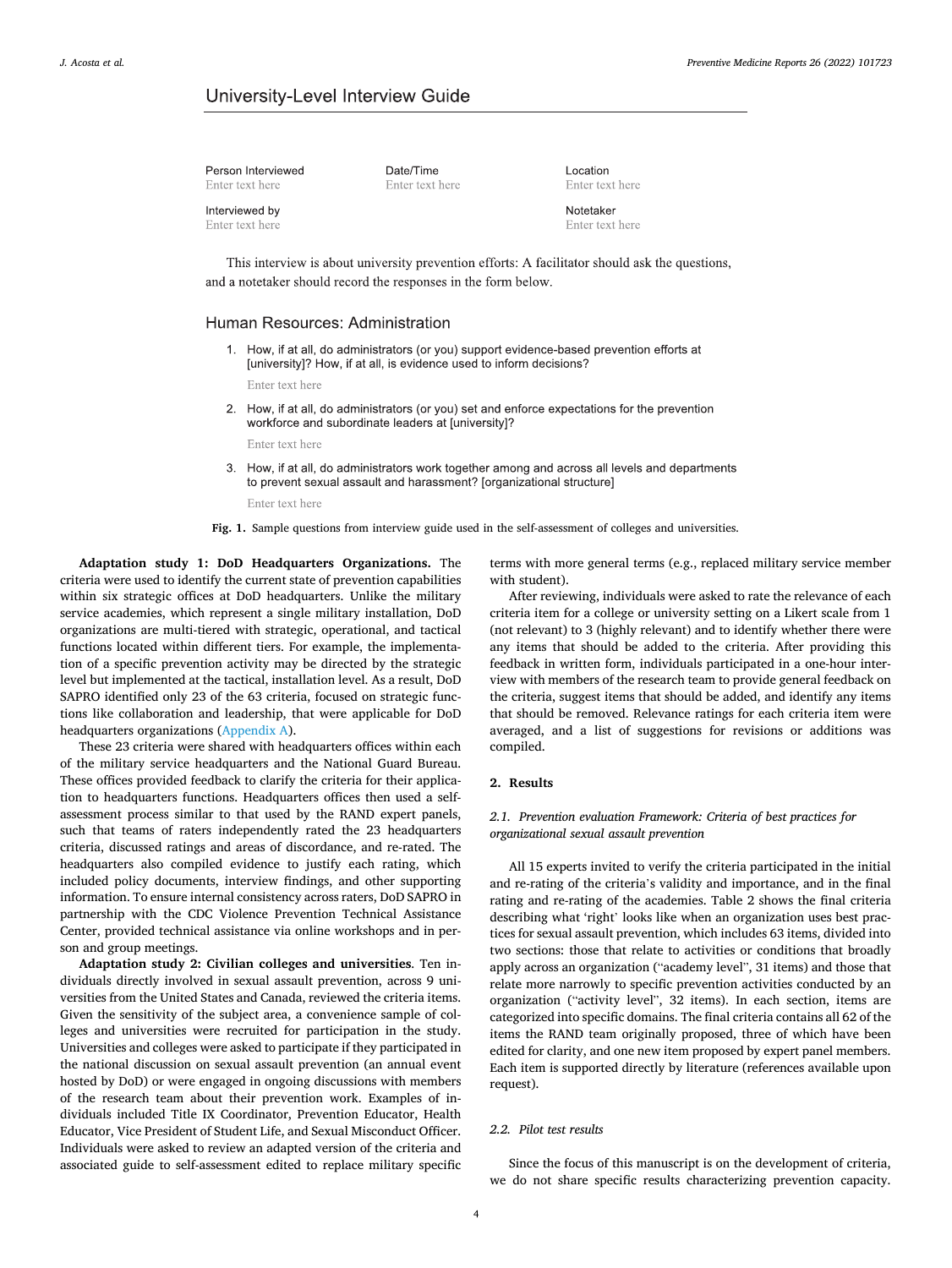# <span id="page-3-0"></span>University-Level Interview Guide

| Person Interviewed               | Date/Time       |
|----------------------------------|-----------------|
| Enter text here                  | Enter text here |
| nterviewed by<br>Enter text here |                 |

Location Enter text here

Notetaker Enter text here

This interview is about university prevention efforts: A facilitator should ask the questions, and a notetaker should record the responses in the form below.

# Human Resources: Administration

1. How, if at all, do administrators (or you) support evidence-based prevention efforts at [university]? How, if at all, is evidence used to inform decisions?

Enter text here

2. How, if at all, do administrators (or you) set and enforce expectations for the prevention workforce and subordinate leaders at [university]?

Enter text here

- $3<sub>1</sub>$ How, if at all, do administrators work together among and across all levels and departments to prevent sexual assault and harassment? [organizational structure] Enter text here
- **Fig. 1.** Sample questions from interview guide used in the self-assessment of colleges and universities.

**Adaptation study 1: DoD Headquarters Organizations.** The criteria were used to identify the current state of prevention capabilities within six strategic offices at DoD headquarters. Unlike the military service academies, which represent a single military installation, DoD organizations are multi-tiered with strategic, operational, and tactical functions located within different tiers. For example, the implementation of a specific prevention activity may be directed by the strategic level but implemented at the tactical, installation level. As a result, DoD SAPRO identified only 23 of the 63 criteria, focused on strategic functions like collaboration and leadership, that were applicable for DoD headquarters organizations (Appendix A).

These 23 criteria were shared with headquarters offices within each of the military service headquarters and the National Guard Bureau. These offices provided feedback to clarify the criteria for their application to headquarters functions. Headquarters offices then used a selfassessment process similar to that used by the RAND expert panels, such that teams of raters independently rated the 23 headquarters criteria, discussed ratings and areas of discordance, and re-rated. The headquarters also compiled evidence to justify each rating, which included policy documents, interview findings, and other supporting information. To ensure internal consistency across raters, DoD SAPRO in partnership with the CDC Violence Prevention Technical Assistance Center, provided technical assistance via online workshops and in person and group meetings.

**Adaptation study 2: Civilian colleges and universities**. Ten individuals directly involved in sexual assault prevention, across 9 universities from the United States and Canada, reviewed the criteria items. Given the sensitivity of the subject area, a convenience sample of colleges and universities were recruited for participation in the study. Universities and colleges were asked to participate if they participated in the national discussion on sexual assault prevention (an annual event hosted by DoD) or were engaged in ongoing discussions with members of the research team about their prevention work. Examples of individuals included Title IX Coordinator, Prevention Educator, Health Educator, Vice President of Student Life, and Sexual Misconduct Officer. Individuals were asked to review an adapted version of the criteria and associated guide to self-assessment edited to replace military specific terms with more general terms (e.g., replaced military service member with student).

After reviewing, individuals were asked to rate the relevance of each criteria item for a college or university setting on a Likert scale from 1 (not relevant) to 3 (highly relevant) and to identify whether there were any items that should be added to the criteria. After providing this feedback in written form, individuals participated in a one-hour interview with members of the research team to provide general feedback on the criteria, suggest items that should be added, and identify any items that should be removed. Relevance ratings for each criteria item were averaged, and a list of suggestions for revisions or additions was compiled.

# **2. Results**

# *2.1. Prevention evaluation Framework: Criteria of best practices for organizational sexual assault prevention*

All 15 experts invited to verify the criteria participated in the initial and re-rating of the criteria's validity and importance, and in the final rating and re-rating of the academies. Table 2 shows the final criteria describing what 'right' looks like when an organization uses best practices for sexual assault prevention, which includes 63 items, divided into two sections: those that relate to activities or conditions that broadly apply across an organization ("academy level", 31 items) and those that relate more narrowly to specific prevention activities conducted by an organization ("activity level", 32 items). In each section, items are categorized into specific domains. The final criteria contains all 62 of the items the RAND team originally proposed, three of which have been edited for clarity, and one new item proposed by expert panel members. Each item is supported directly by literature (references available upon request).

# *2.2. Pilot test results*

Since the focus of this manuscript is on the development of criteria, we do not share specific results characterizing prevention capacity.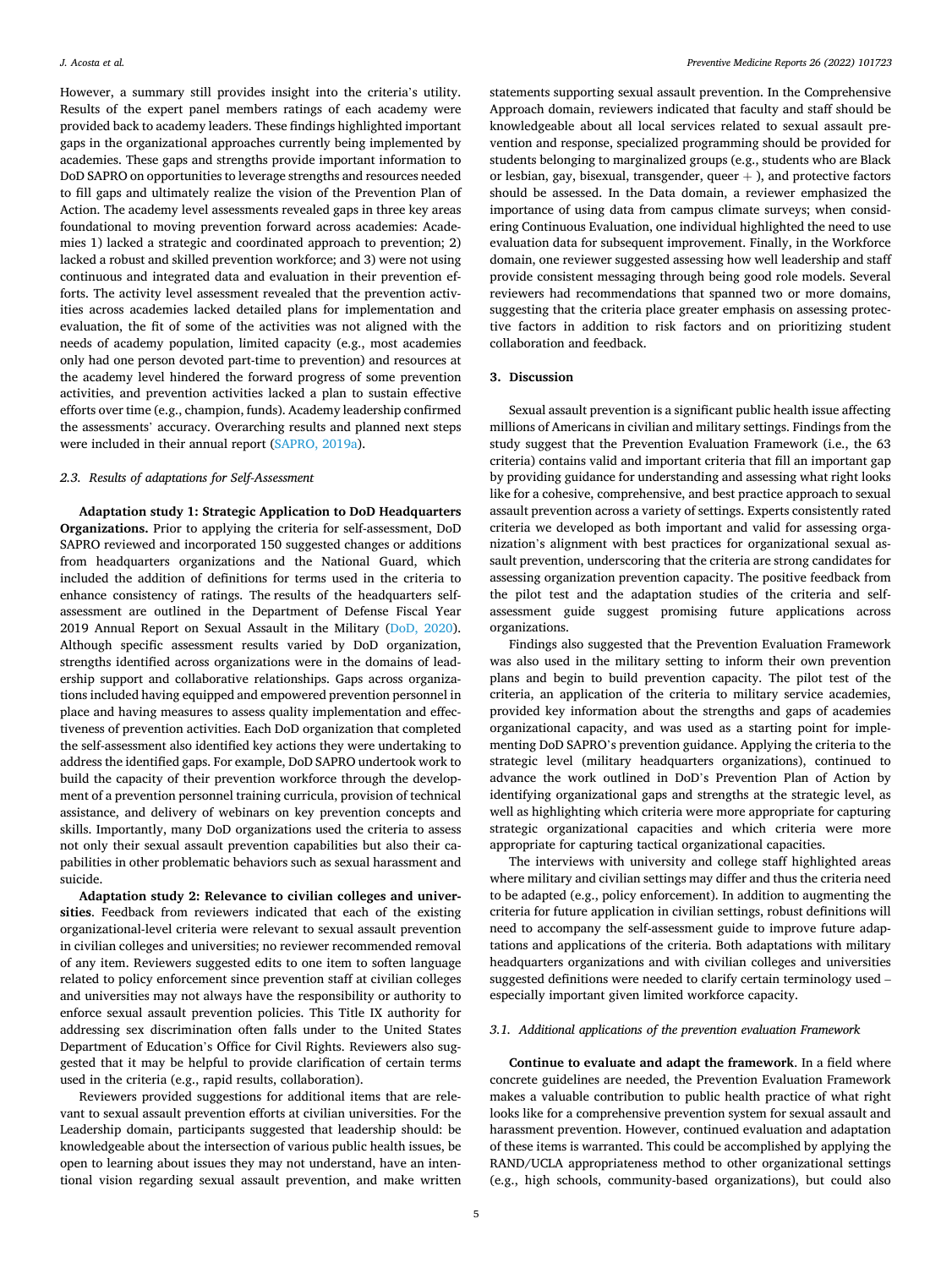However, a summary still provides insight into the criteria's utility. Results of the expert panel members ratings of each academy were provided back to academy leaders. These findings highlighted important gaps in the organizational approaches currently being implemented by academies. These gaps and strengths provide important information to DoD SAPRO on opportunities to leverage strengths and resources needed to fill gaps and ultimately realize the vision of the Prevention Plan of Action. The academy level assessments revealed gaps in three key areas foundational to moving prevention forward across academies: Academies 1) lacked a strategic and coordinated approach to prevention; 2) lacked a robust and skilled prevention workforce; and 3) were not using continuous and integrated data and evaluation in their prevention efforts. The activity level assessment revealed that the prevention activities across academies lacked detailed plans for implementation and evaluation, the fit of some of the activities was not aligned with the needs of academy population, limited capacity (e.g., most academies only had one person devoted part-time to prevention) and resources at the academy level hindered the forward progress of some prevention activities, and prevention activities lacked a plan to sustain effective efforts over time (e.g., champion, funds). Academy leadership confirmed the assessments' accuracy. Overarching results and planned next steps were included in their annual report ([SAPRO, 2019a\)](#page-5-0).

# *2.3. Results of adaptations for Self-Assessment*

**Adaptation study 1: Strategic Application to DoD Headquarters Organizations.** Prior to applying the criteria for self-assessment, DoD SAPRO reviewed and incorporated 150 suggested changes or additions from headquarters organizations and the National Guard, which included the addition of definitions for terms used in the criteria to enhance consistency of ratings. The results of the headquarters selfassessment are outlined in the Department of Defense Fiscal Year 2019 Annual Report on Sexual Assault in the Military [\(DoD, 2020](#page-5-0)). Although specific assessment results varied by DoD organization, strengths identified across organizations were in the domains of leadership support and collaborative relationships. Gaps across organizations included having equipped and empowered prevention personnel in place and having measures to assess quality implementation and effectiveness of prevention activities. Each DoD organization that completed the self-assessment also identified key actions they were undertaking to address the identified gaps. For example, DoD SAPRO undertook work to build the capacity of their prevention workforce through the development of a prevention personnel training curricula, provision of technical assistance, and delivery of webinars on key prevention concepts and skills. Importantly, many DoD organizations used the criteria to assess not only their sexual assault prevention capabilities but also their capabilities in other problematic behaviors such as sexual harassment and suicide.

**Adaptation study 2: Relevance to civilian colleges and universities**. Feedback from reviewers indicated that each of the existing organizational-level criteria were relevant to sexual assault prevention in civilian colleges and universities; no reviewer recommended removal of any item. Reviewers suggested edits to one item to soften language related to policy enforcement since prevention staff at civilian colleges and universities may not always have the responsibility or authority to enforce sexual assault prevention policies. This Title IX authority for addressing sex discrimination often falls under to the United States Department of Education's Office for Civil Rights. Reviewers also suggested that it may be helpful to provide clarification of certain terms used in the criteria (e.g., rapid results, collaboration).

Reviewers provided suggestions for additional items that are relevant to sexual assault prevention efforts at civilian universities. For the Leadership domain, participants suggested that leadership should: be knowledgeable about the intersection of various public health issues, be open to learning about issues they may not understand, have an intentional vision regarding sexual assault prevention, and make written statements supporting sexual assault prevention. In the Comprehensive Approach domain, reviewers indicated that faculty and staff should be knowledgeable about all local services related to sexual assault prevention and response, specialized programming should be provided for students belonging to marginalized groups (e.g., students who are Black or lesbian, gay, bisexual, transgender, queer  $+$  ), and protective factors should be assessed. In the Data domain, a reviewer emphasized the importance of using data from campus climate surveys; when considering Continuous Evaluation, one individual highlighted the need to use evaluation data for subsequent improvement. Finally, in the Workforce domain, one reviewer suggested assessing how well leadership and staff provide consistent messaging through being good role models. Several reviewers had recommendations that spanned two or more domains, suggesting that the criteria place greater emphasis on assessing protective factors in addition to risk factors and on prioritizing student collaboration and feedback.

# **3. Discussion**

Sexual assault prevention is a significant public health issue affecting millions of Americans in civilian and military settings. Findings from the study suggest that the Prevention Evaluation Framework (i.e., the 63 criteria) contains valid and important criteria that fill an important gap by providing guidance for understanding and assessing what right looks like for a cohesive, comprehensive, and best practice approach to sexual assault prevention across a variety of settings. Experts consistently rated criteria we developed as both important and valid for assessing organization's alignment with best practices for organizational sexual assault prevention, underscoring that the criteria are strong candidates for assessing organization prevention capacity. The positive feedback from the pilot test and the adaptation studies of the criteria and selfassessment guide suggest promising future applications across organizations.

Findings also suggested that the Prevention Evaluation Framework was also used in the military setting to inform their own prevention plans and begin to build prevention capacity. The pilot test of the criteria, an application of the criteria to military service academies, provided key information about the strengths and gaps of academies organizational capacity, and was used as a starting point for implementing DoD SAPRO's prevention guidance. Applying the criteria to the strategic level (military headquarters organizations), continued to advance the work outlined in DoD's Prevention Plan of Action by identifying organizational gaps and strengths at the strategic level, as well as highlighting which criteria were more appropriate for capturing strategic organizational capacities and which criteria were more appropriate for capturing tactical organizational capacities.

The interviews with university and college staff highlighted areas where military and civilian settings may differ and thus the criteria need to be adapted (e.g., policy enforcement). In addition to augmenting the criteria for future application in civilian settings, robust definitions will need to accompany the self-assessment guide to improve future adaptations and applications of the criteria. Both adaptations with military headquarters organizations and with civilian colleges and universities suggested definitions were needed to clarify certain terminology used – especially important given limited workforce capacity.

#### *3.1. Additional applications of the prevention evaluation Framework*

**Continue to evaluate and adapt the framework**. In a field where concrete guidelines are needed, the Prevention Evaluation Framework makes a valuable contribution to public health practice of what right looks like for a comprehensive prevention system for sexual assault and harassment prevention. However, continued evaluation and adaptation of these items is warranted. This could be accomplished by applying the RAND/UCLA appropriateness method to other organizational settings (e.g., high schools, community-based organizations), but could also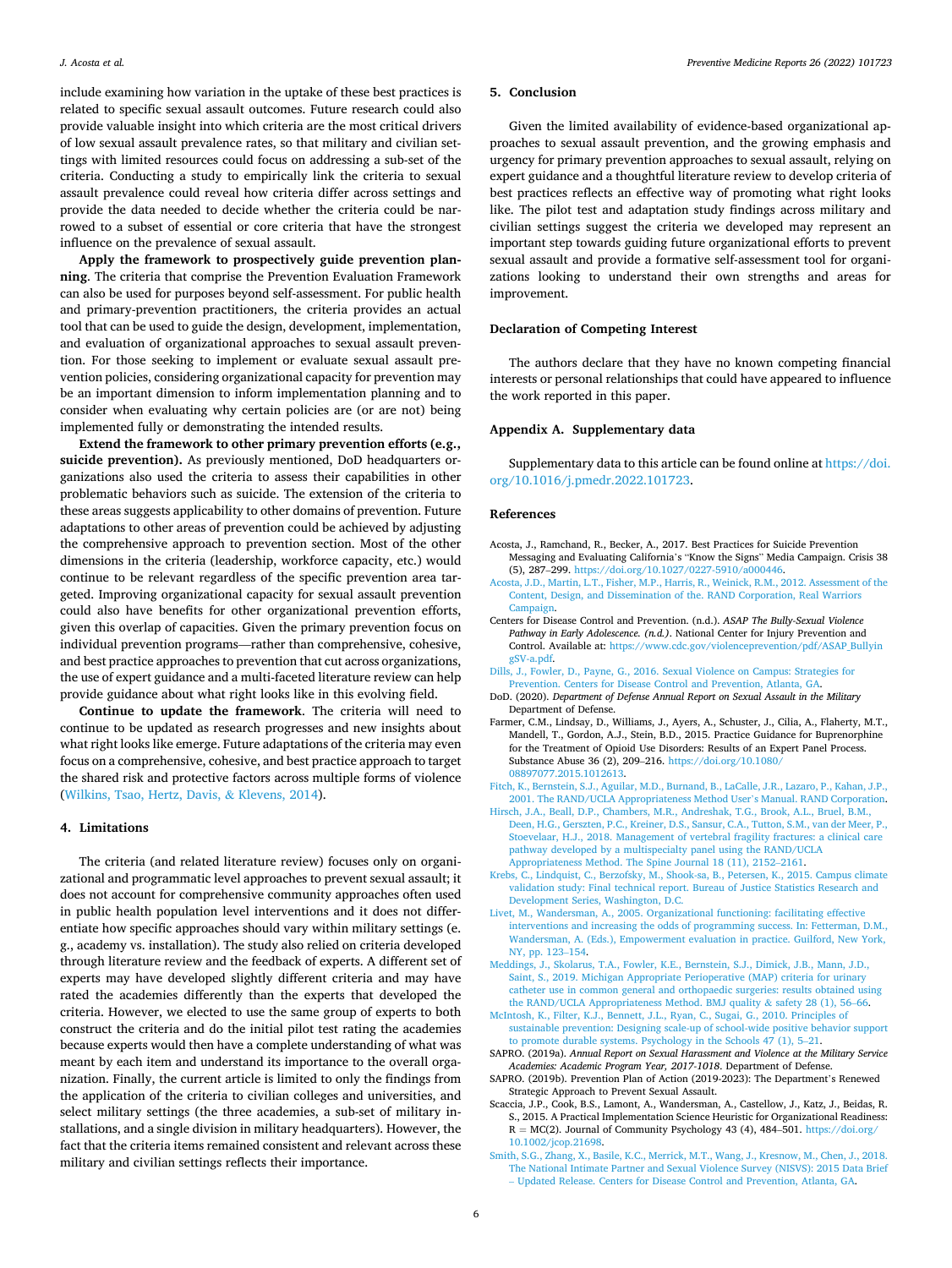<span id="page-5-0"></span>include examining how variation in the uptake of these best practices is related to specific sexual assault outcomes. Future research could also provide valuable insight into which criteria are the most critical drivers of low sexual assault prevalence rates, so that military and civilian settings with limited resources could focus on addressing a sub-set of the criteria. Conducting a study to empirically link the criteria to sexual assault prevalence could reveal how criteria differ across settings and provide the data needed to decide whether the criteria could be narrowed to a subset of essential or core criteria that have the strongest influence on the prevalence of sexual assault.

**Apply the framework to prospectively guide prevention planning**. The criteria that comprise the Prevention Evaluation Framework can also be used for purposes beyond self-assessment. For public health and primary-prevention practitioners, the criteria provides an actual tool that can be used to guide the design, development, implementation, and evaluation of organizational approaches to sexual assault prevention. For those seeking to implement or evaluate sexual assault prevention policies, considering organizational capacity for prevention may be an important dimension to inform implementation planning and to consider when evaluating why certain policies are (or are not) being implemented fully or demonstrating the intended results.

**Extend the framework to other primary prevention efforts (e.g., suicide prevention).** As previously mentioned, DoD headquarters organizations also used the criteria to assess their capabilities in other problematic behaviors such as suicide. The extension of the criteria to these areas suggests applicability to other domains of prevention. Future adaptations to other areas of prevention could be achieved by adjusting the comprehensive approach to prevention section. Most of the other dimensions in the criteria (leadership, workforce capacity, etc.) would continue to be relevant regardless of the specific prevention area targeted. Improving organizational capacity for sexual assault prevention could also have benefits for other organizational prevention efforts, given this overlap of capacities. Given the primary prevention focus on individual prevention programs—rather than comprehensive, cohesive, and best practice approaches to prevention that cut across organizations, the use of expert guidance and a multi-faceted literature review can help provide guidance about what right looks like in this evolving field.

**Continue to update the framework**. The criteria will need to continue to be updated as research progresses and new insights about what right looks like emerge. Future adaptations of the criteria may even focus on a comprehensive, cohesive, and best practice approach to target the shared risk and protective factors across multiple forms of violence ([Wilkins, Tsao, Hertz, Davis,](#page-6-0) & Klevens, 2014).

#### **4. Limitations**

The criteria (and related literature review) focuses only on organizational and programmatic level approaches to prevent sexual assault; it does not account for comprehensive community approaches often used in public health population level interventions and it does not differentiate how specific approaches should vary within military settings (e. g., academy vs. installation). The study also relied on criteria developed through literature review and the feedback of experts. A different set of experts may have developed slightly different criteria and may have rated the academies differently than the experts that developed the criteria. However, we elected to use the same group of experts to both construct the criteria and do the initial pilot test rating the academies because experts would then have a complete understanding of what was meant by each item and understand its importance to the overall organization. Finally, the current article is limited to only the findings from the application of the criteria to civilian colleges and universities, and select military settings (the three academies, a sub-set of military installations, and a single division in military headquarters). However, the fact that the criteria items remained consistent and relevant across these military and civilian settings reflects their importance.

## **5. Conclusion**

Given the limited availability of evidence-based organizational approaches to sexual assault prevention, and the growing emphasis and urgency for primary prevention approaches to sexual assault, relying on expert guidance and a thoughtful literature review to develop criteria of best practices reflects an effective way of promoting what right looks like. The pilot test and adaptation study findings across military and civilian settings suggest the criteria we developed may represent an important step towards guiding future organizational efforts to prevent sexual assault and provide a formative self-assessment tool for organizations looking to understand their own strengths and areas for improvement.

## **Declaration of Competing Interest**

The authors declare that they have no known competing financial interests or personal relationships that could have appeared to influence the work reported in this paper.

## **Appendix A. Supplementary data**

Supplementary data to this article can be found online at [https://doi.](https://doi.org/10.1016/j.pmedr.2022.101723)  [org/10.1016/j.pmedr.2022.101723.](https://doi.org/10.1016/j.pmedr.2022.101723)

#### **References**

- Acosta, J., Ramchand, R., Becker, A., 2017. Best Practices for Suicide Prevention Messaging and Evaluating California's "Know the Signs" Media Campaign. Crisis 38 (5), 287–299. [https://doi.org/10.1027/0227-5910/a000446.](https://doi.org/10.1027/0227-5910/a000446)
- [Acosta, J.D., Martin, L.T., Fisher, M.P., Harris, R., Weinick, R.M., 2012. Assessment of the](http://refhub.elsevier.com/S2211-3355(22)00030-4/h0010)  [Content, Design, and Dissemination of the. RAND Corporation, Real Warriors](http://refhub.elsevier.com/S2211-3355(22)00030-4/h0010)
- [Campaign.](http://refhub.elsevier.com/S2211-3355(22)00030-4/h0010) Centers for Disease Control and Prevention. (n.d.). *ASAP The Bully-Sexual Violence Pathway in Early Adolescence. (n.d.)*. National Center for Injury Prevention and Control. Available at: [https://www.cdc.gov/violenceprevention/pdf/ASAP\\_Bullyin](https://www.cdc.gov/violenceprevention/pdf/ASAP_BullyingSV-a.pdf) [gSV-a.pdf.](https://www.cdc.gov/violenceprevention/pdf/ASAP_BullyingSV-a.pdf)
- [Dills, J., Fowler, D., Payne, G., 2016. Sexual Violence on Campus: Strategies for](http://refhub.elsevier.com/S2211-3355(22)00030-4/h0020)  [Prevention. Centers for Disease Control and Prevention, Atlanta, GA](http://refhub.elsevier.com/S2211-3355(22)00030-4/h0020).
- DoD. (2020). *Department of Defense Annual Report on Sexual Assault in the Military*  Department of Defense.
- Farmer, C.M., Lindsay, D., Williams, J., Ayers, A., Schuster, J., Cilia, A., Flaherty, M.T., Mandell, T., Gordon, A.J., Stein, B.D., 2015. Practice Guidance for Buprenorphine for the Treatment of Opioid Use Disorders: Results of an Expert Panel Process. Substance Abuse 36 (2), 209–216. [https://doi.org/10.1080/](https://doi.org/10.1080/08897077.2015.1012613) [08897077.2015.1012613](https://doi.org/10.1080/08897077.2015.1012613).
- [Fitch, K., Bernstein, S.J., Aguilar, M.D., Burnand, B., LaCalle, J.R., Lazaro, P., Kahan, J.P.,](http://refhub.elsevier.com/S2211-3355(22)00030-4/h0035)  [2001. The RAND/UCLA Appropriateness Method User](http://refhub.elsevier.com/S2211-3355(22)00030-4/h0035)'s Manual. RAND Corporation.
- [Hirsch, J.A., Beall, D.P., Chambers, M.R., Andreshak, T.G., Brook, A.L., Bruel, B.M.,](http://refhub.elsevier.com/S2211-3355(22)00030-4/h0040) [Deen, H.G., Gerszten, P.C., Kreiner, D.S., Sansur, C.A., Tutton, S.M., van der Meer, P.,](http://refhub.elsevier.com/S2211-3355(22)00030-4/h0040)  [Stoevelaar, H.J., 2018. Management of vertebral fragility fractures: a clinical care](http://refhub.elsevier.com/S2211-3355(22)00030-4/h0040) [pathway developed by a multispecialty panel using the RAND/UCLA](http://refhub.elsevier.com/S2211-3355(22)00030-4/h0040)  [Appropriateness Method. The Spine Journal 18 \(11\), 2152](http://refhub.elsevier.com/S2211-3355(22)00030-4/h0040)–2161.
- [Krebs, C., Lindquist, C., Berzofsky, M., Shook-sa, B., Petersen, K., 2015. Campus climate](http://refhub.elsevier.com/S2211-3355(22)00030-4/h0045)  [validation study: Final technical report. Bureau of Justice Statistics Research and](http://refhub.elsevier.com/S2211-3355(22)00030-4/h0045)  [Development Series, Washington, D.C.](http://refhub.elsevier.com/S2211-3355(22)00030-4/h0045)
- [Livet, M., Wandersman, A., 2005. Organizational functioning: facilitating effective](http://refhub.elsevier.com/S2211-3355(22)00030-4/h0050)  [interventions and increasing the odds of programming success. In: Fetterman, D.M.,](http://refhub.elsevier.com/S2211-3355(22)00030-4/h0050)  [Wandersman, A. \(Eds.\), Empowerment evaluation in practice. Guilford, New York,](http://refhub.elsevier.com/S2211-3355(22)00030-4/h0050) [NY, pp. 123](http://refhub.elsevier.com/S2211-3355(22)00030-4/h0050)–154.
- [Meddings, J., Skolarus, T.A., Fowler, K.E., Bernstein, S.J., Dimick, J.B., Mann, J.D.,](http://refhub.elsevier.com/S2211-3355(22)00030-4/h0055) [Saint, S., 2019. Michigan Appropriate Perioperative \(MAP\) criteria for urinary](http://refhub.elsevier.com/S2211-3355(22)00030-4/h0055) [catheter use in common general and orthopaedic surgeries: results obtained using](http://refhub.elsevier.com/S2211-3355(22)00030-4/h0055) [the RAND/UCLA Appropriateness Method. BMJ quality](http://refhub.elsevier.com/S2211-3355(22)00030-4/h0055) & safety 28 (1), 56–66.
- [McIntosh, K., Filter, K.J., Bennett, J.L., Ryan, C., Sugai, G., 2010. Principles of](http://refhub.elsevier.com/S2211-3355(22)00030-4/h0060)  [sustainable prevention: Designing scale-up of school-wide positive behavior support](http://refhub.elsevier.com/S2211-3355(22)00030-4/h0060)  [to promote durable systems. Psychology in the Schools 47 \(1\), 5](http://refhub.elsevier.com/S2211-3355(22)00030-4/h0060)–21.
- SAPRO. (2019a). *Annual Report on Sexual Harassment and Violence at the Military Service Academies: Academic Program Year, 2017-1018*. Department of Defense.
- SAPRO. (2019b). Prevention Plan of Action (2019-2023): The Department's Renewed Strategic Approach to Prevent Sexual Assault.
- Scaccia, J.P., Cook, B.S., Lamont, A., Wandersman, A., Castellow, J., Katz, J., Beidas, R. S., 2015. A Practical Implementation Science Heuristic for Organizational Readiness: R = MC(2). Journal of Community Psychology 43 (4), 484–501. [https://doi.org/](https://doi.org/10.1002/jcop.21698)  [10.1002/jcop.21698.](https://doi.org/10.1002/jcop.21698)
- [Smith, S.G., Zhang, X., Basile, K.C., Merrick, M.T., Wang, J., Kresnow, M., Chen, J., 2018.](http://refhub.elsevier.com/S2211-3355(22)00030-4/h0085)  [The National Intimate Partner and Sexual Violence Survey \(NISVS\): 2015 Data Brief](http://refhub.elsevier.com/S2211-3355(22)00030-4/h0085)  – [Updated Release. Centers for Disease Control and Prevention, Atlanta, GA.](http://refhub.elsevier.com/S2211-3355(22)00030-4/h0085)